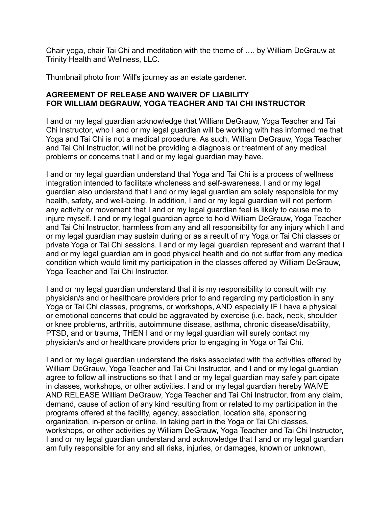Chair yoga, chair Tai Chi and meditation with the theme of …. by William DeGrauw at Trinity Health and Wellness, LLC.

Thumbnail photo from Will's journey as an estate gardener.

## **AGREEMENT OF RELEASE AND WAIVER OF LIABILITY FOR WILLIAM DEGRAUW, YOGA TEACHER AND TAI CHI INSTRUCTOR**

I and or my legal guardian acknowledge that William DeGrauw, Yoga Teacher and Tai Chi Instructor, who I and or my legal guardian will be working with has informed me that Yoga and Tai Chi is not a medical procedure. As such, William DeGrauw, Yoga Teacher and Tai Chi Instructor, will not be providing a diagnosis or treatment of any medical problems or concerns that I and or my legal guardian may have.

I and or my legal guardian understand that Yoga and Tai Chi is a process of wellness integration intended to facilitate wholeness and self-awareness. I and or my legal guardian also understand that I and or my legal guardian am solely responsible for my health, safety, and well-being. In addition, I and or my legal guardian will not perform any activity or movement that I and or my legal guardian feel is likely to cause me to injure myself. I and or my legal guardian agree to hold William DeGrauw, Yoga Teacher and Tai Chi Instructor, harmless from any and all responsibility for any injury which I and or my legal guardian may sustain during or as a result of my Yoga or Tai Chi classes or private Yoga or Tai Chi sessions. I and or my legal guardian represent and warrant that I and or my legal guardian am in good physical health and do not suffer from any medical condition which would limit my participation in the classes offered by William DeGrauw, Yoga Teacher and Tai Chi Instructor.

I and or my legal guardian understand that it is my responsibility to consult with my physician/s and or healthcare providers prior to and regarding my participation in any Yoga or Tai Chi classes, programs, or workshops, AND especially IF I have a physical or emotional concerns that could be aggravated by exercise (i.e. back, neck, shoulder or knee problems, arthritis, autoimmune disease, asthma, chronic disease/disability, PTSD, and or trauma, THEN I and or my legal guardian will surely contact my physician/s and or healthcare providers prior to engaging in Yoga or Tai Chi.

I and or my legal guardian understand the risks associated with the activities offered by William DeGrauw, Yoga Teacher and Tai Chi Instructor, and I and or my legal guardian agree to follow all instructions so that I and or my legal guardian may safely participate in classes, workshops, or other activities. I and or my legal guardian hereby WAIVE AND RELEASE William DeGrauw, Yoga Teacher and Tai Chi Instructor, from any claim, demand, cause of action of any kind resulting from or related to my participation in the programs offered at the facility, agency, association, location site, sponsoring organization, in-person or online. In taking part in the Yoga or Tai Chi classes, workshops, or other activities by William DeGrauw, Yoga Teacher and Tai Chi Instructor, I and or my legal guardian understand and acknowledge that I and or my legal guardian am fully responsible for any and all risks, injuries, or damages, known or unknown,